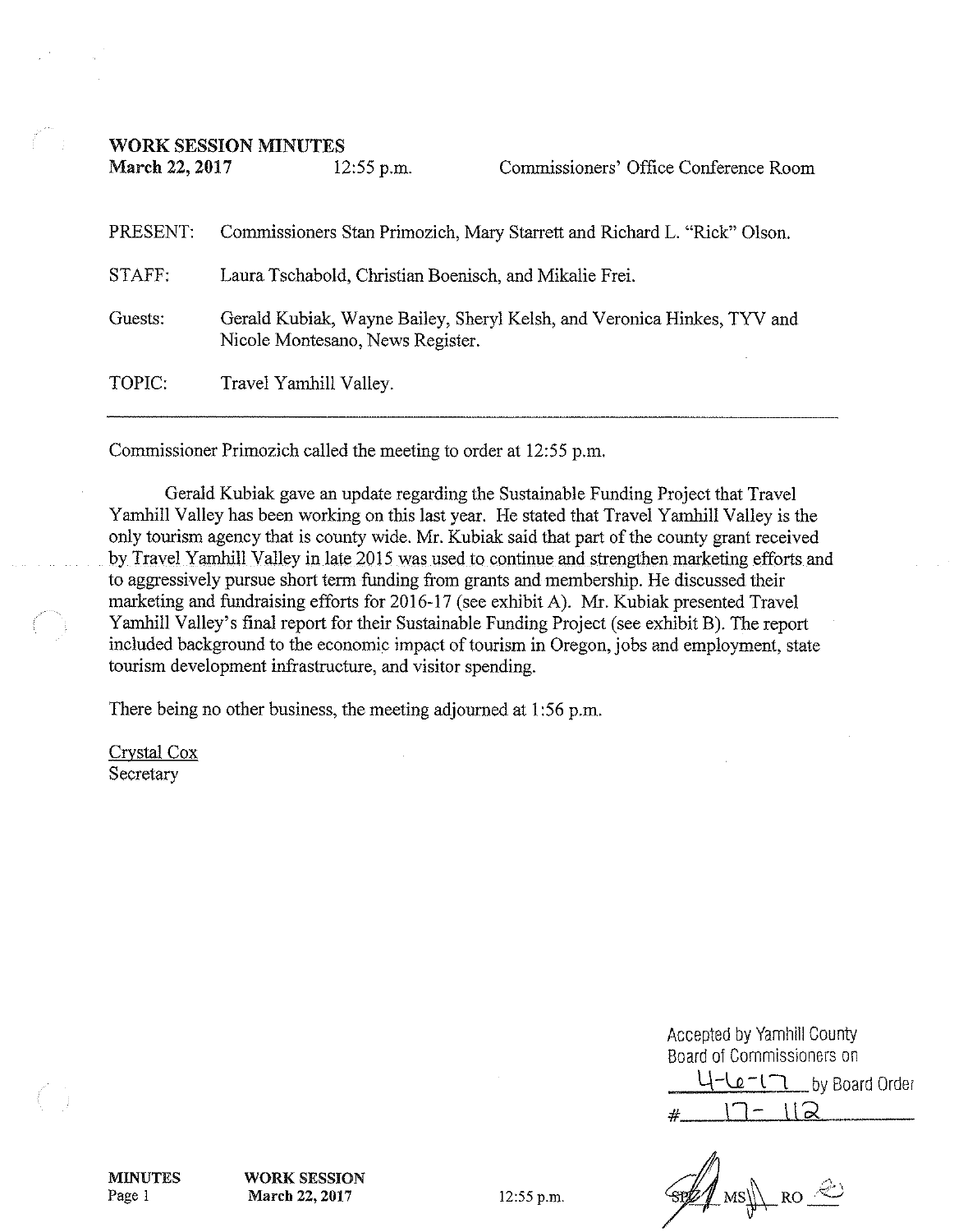**WORK SESSION MINUTES** 

March 22, 2017

| $\ldots$ | ---- <i>--</i> -----                                                                                        | Commonouvro - Omvo Comonouvro I wan |
|----------|-------------------------------------------------------------------------------------------------------------|-------------------------------------|
| PRESENT: | Commissioners Stan Primozich, Mary Starrett and Richard L. "Rick" Olson.                                    |                                     |
| STAFF:   | Laura Tschabold, Christian Boenisch, and Mikalie Frei.                                                      |                                     |
| Guests:  | Gerald Kubiak, Wayne Bailey, Sheryl Kelsh, and Veronica Hinkes, TYV and<br>Nicole Montesano, News Register. |                                     |
| TOPIC:   | Travel Yamhill Valley.                                                                                      |                                     |

Commissioners' Office Conference Room

Commissioner Primozich called the meeting to order at 12:55 p.m.

 $12.55 \text{ nm}$ 

Gerald Kubiak gave an update regarding the Sustainable Funding Project that Travel Yamhill Valley has been working on this last year. He stated that Travel Yamhill Valley is the only tourism agency that is county wide. Mr. Kubiak said that part of the county grant received by Travel Yamhill Valley in late 2015 was used to continue and strengthen marketing efforts and to aggressively pursue short term funding from grants and membership. He discussed their marketing and fundraising efforts for 2016-17 (see exhibit A). Mr. Kubiak presented Travel Yamhill Valley's final report for their Sustainable Funding Project (see exhibit B). The report included background to the economic impact of tourism in Oregon, jobs and employment, state tourism development infrastructure, and visitor spending.

There being no other business, the meeting adjourned at 1:56 p.m.

Crystal Cox Secretary

| Accepted by Yamhill County<br>Board of Commissioners on |  |  |  |
|---------------------------------------------------------|--|--|--|
| 4-Le-17 by Board Order                                  |  |  |  |
| $L = 112$                                               |  |  |  |

SUM MSJ RO

**MINUTES** Page 1

**WORK SESSION** March 22, 2017

12:55 p.m.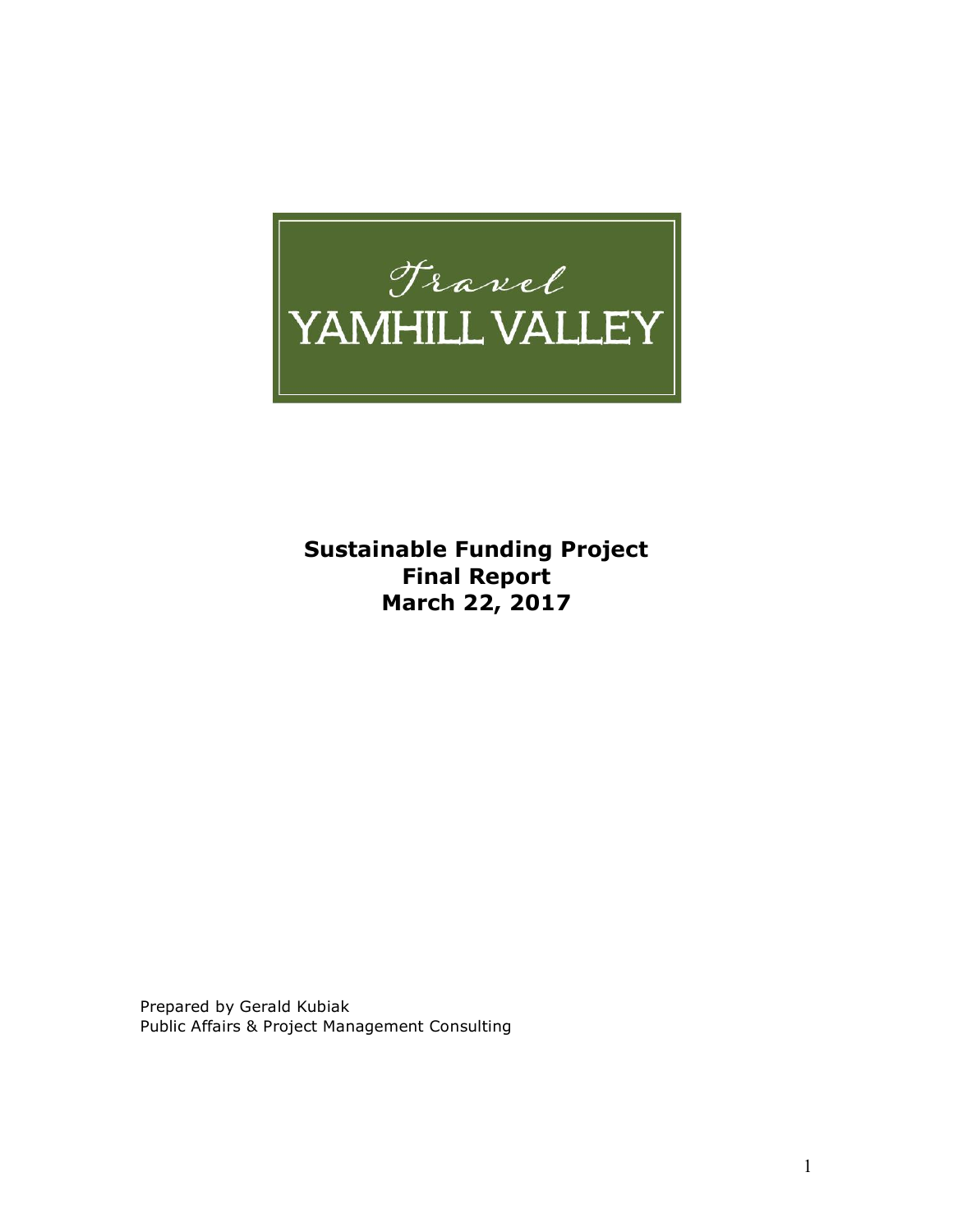# *Francl*<br>YAMHILL VALLEY

**Sustainable Funding Project Final Report March 22, 2017**

Prepared by Gerald Kubiak Public Affairs & Project Management Consulting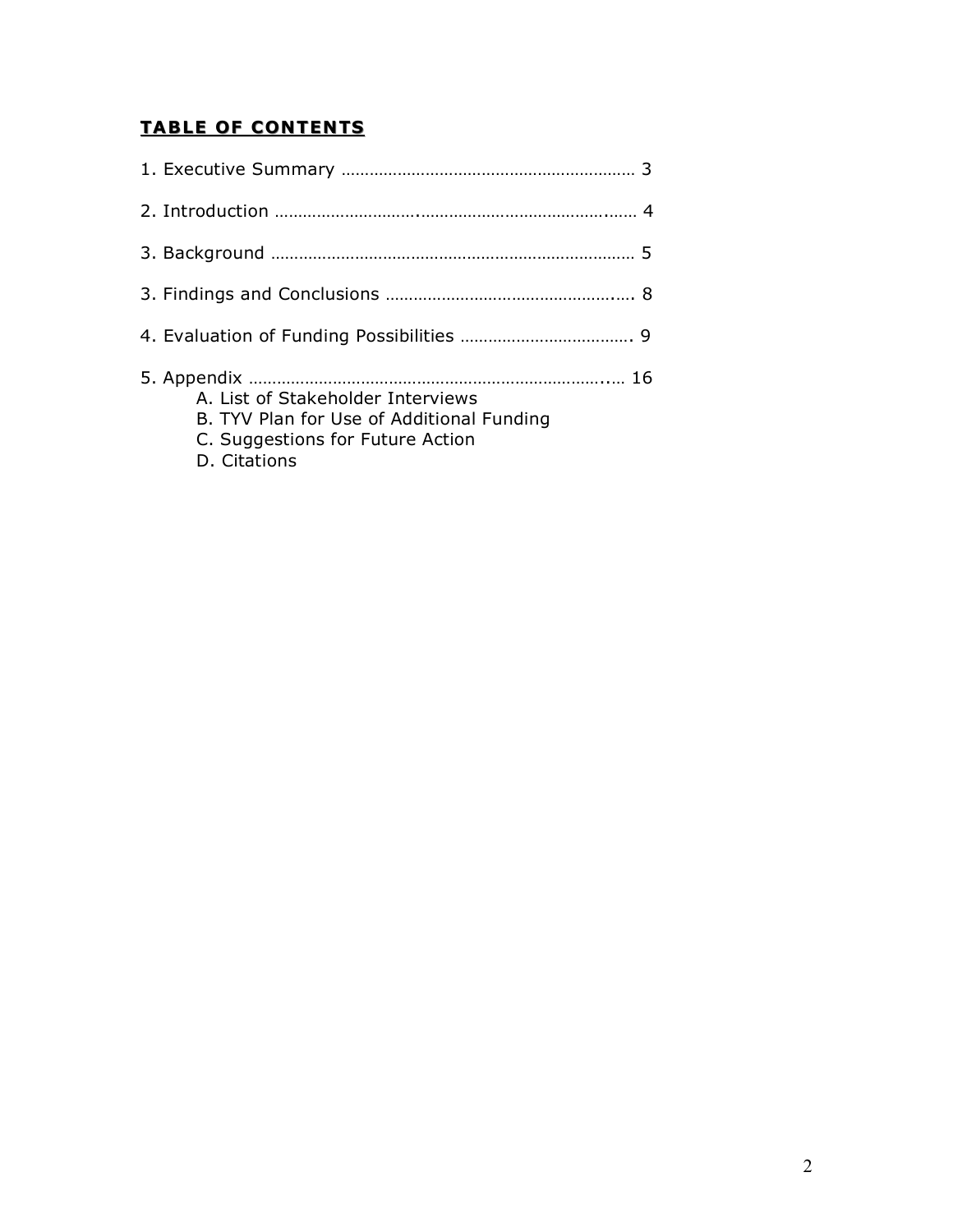# **TABLE OF CONTENTS**

| A. List of Stakeholder Interviews<br>B. TYV Plan for Use of Additional Funding<br>C. Suggestions for Future Action<br>D. Citations |  |
|------------------------------------------------------------------------------------------------------------------------------------|--|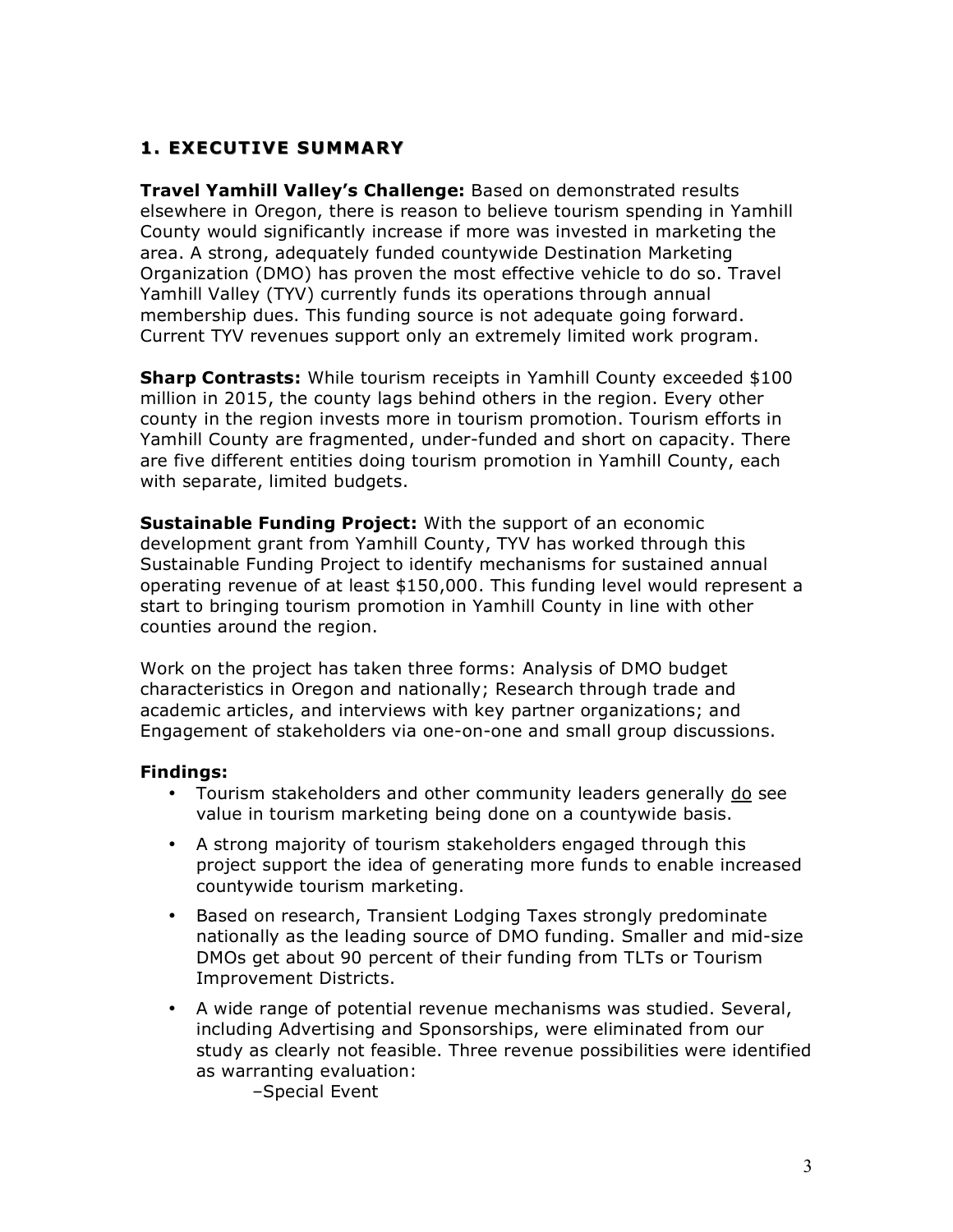# **1. EXECUTIVE SUMMARY**

**Travel Yamhill Valley's Challenge:** Based on demonstrated results elsewhere in Oregon, there is reason to believe tourism spending in Yamhill County would significantly increase if more was invested in marketing the area. A strong, adequately funded countywide Destination Marketing Organization (DMO) has proven the most effective vehicle to do so. Travel Yamhill Valley (TYV) currently funds its operations through annual membership dues. This funding source is not adequate going forward. Current TYV revenues support only an extremely limited work program.

**Sharp Contrasts:** While tourism receipts in Yamhill County exceeded \$100 million in 2015, the county lags behind others in the region. Every other county in the region invests more in tourism promotion. Tourism efforts in Yamhill County are fragmented, under-funded and short on capacity. There are five different entities doing tourism promotion in Yamhill County, each with separate, limited budgets.

**Sustainable Funding Project:** With the support of an economic development grant from Yamhill County, TYV has worked through this Sustainable Funding Project to identify mechanisms for sustained annual operating revenue of at least \$150,000. This funding level would represent a start to bringing tourism promotion in Yamhill County in line with other counties around the region.

Work on the project has taken three forms: Analysis of DMO budget characteristics in Oregon and nationally; Research through trade and academic articles, and interviews with key partner organizations; and Engagement of stakeholders via one-on-one and small group discussions.

#### **Findings:**

- Tourism stakeholders and other community leaders generally do see value in tourism marketing being done on a countywide basis.
- A strong majority of tourism stakeholders engaged through this project support the idea of generating more funds to enable increased countywide tourism marketing.
- Based on research, Transient Lodging Taxes strongly predominate nationally as the leading source of DMO funding. Smaller and mid-size DMOs get about 90 percent of their funding from TLTs or Tourism Improvement Districts.
- A wide range of potential revenue mechanisms was studied. Several, including Advertising and Sponsorships, were eliminated from our study as clearly not feasible. Three revenue possibilities were identified as warranting evaluation:

–Special Event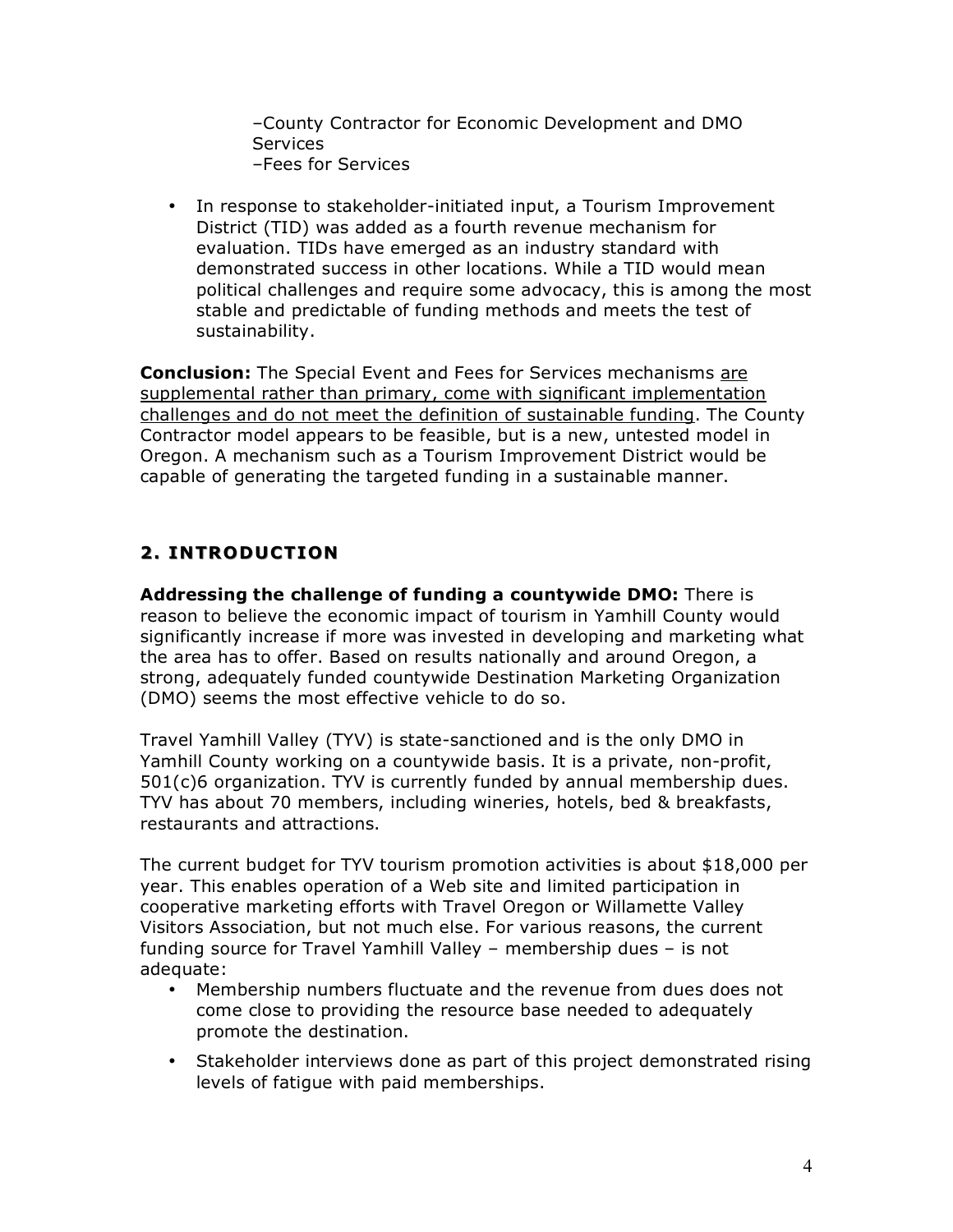–County Contractor for Economic Development and DMO **Services** –Fees for Services

• In response to stakeholder-initiated input, a Tourism Improvement District (TID) was added as a fourth revenue mechanism for evaluation. TIDs have emerged as an industry standard with demonstrated success in other locations. While a TID would mean political challenges and require some advocacy, this is among the most stable and predictable of funding methods and meets the test of sustainability.

**Conclusion:** The Special Event and Fees for Services mechanisms are supplemental rather than primary, come with significant implementation challenges and do not meet the definition of sustainable funding. The County Contractor model appears to be feasible, but is a new, untested model in Oregon. A mechanism such as a Tourism Improvement District would be capable of generating the targeted funding in a sustainable manner.

# **2. INTRODUCTION 2. INTRODUCTION**

**Addressing the challenge of funding a countywide DMO:** There is reason to believe the economic impact of tourism in Yamhill County would significantly increase if more was invested in developing and marketing what the area has to offer. Based on results nationally and around Oregon, a strong, adequately funded countywide Destination Marketing Organization (DMO) seems the most effective vehicle to do so.

Travel Yamhill Valley (TYV) is state-sanctioned and is the only DMO in Yamhill County working on a countywide basis. It is a private, non-profit, 501(c)6 organization. TYV is currently funded by annual membership dues. TYV has about 70 members, including wineries, hotels, bed & breakfasts, restaurants and attractions.

The current budget for TYV tourism promotion activities is about \$18,000 per year. This enables operation of a Web site and limited participation in cooperative marketing efforts with Travel Oregon or Willamette Valley Visitors Association, but not much else. For various reasons, the current funding source for Travel Yamhill Valley – membership dues – is not adequate:

- Membership numbers fluctuate and the revenue from dues does not come close to providing the resource base needed to adequately promote the destination.
- Stakeholder interviews done as part of this project demonstrated rising levels of fatigue with paid memberships.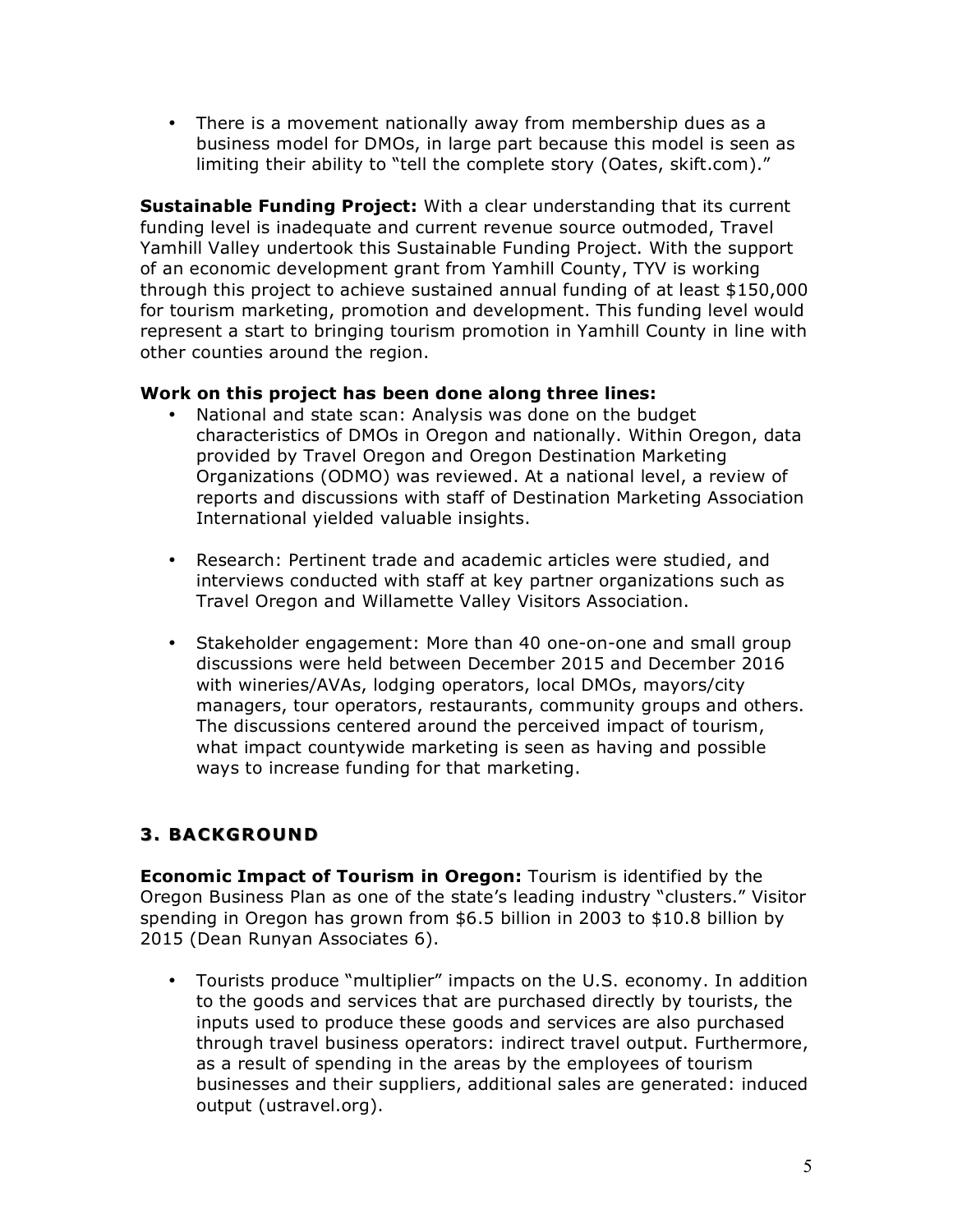• There is a movement nationally away from membership dues as a business model for DMOs, in large part because this model is seen as limiting their ability to "tell the complete story (Oates, skift.com)."

**Sustainable Funding Project:** With a clear understanding that its current funding level is inadequate and current revenue source outmoded, Travel Yamhill Valley undertook this Sustainable Funding Project. With the support of an economic development grant from Yamhill County, TYV is working through this project to achieve sustained annual funding of at least \$150,000 for tourism marketing, promotion and development. This funding level would represent a start to bringing tourism promotion in Yamhill County in line with other counties around the region.

## **Work on this project has been done along three lines:**

- National and state scan: Analysis was done on the budget characteristics of DMOs in Oregon and nationally. Within Oregon, data provided by Travel Oregon and Oregon Destination Marketing Organizations (ODMO) was reviewed. At a national level, a review of reports and discussions with staff of Destination Marketing Association International yielded valuable insights.
- Research: Pertinent trade and academic articles were studied, and interviews conducted with staff at key partner organizations such as Travel Oregon and Willamette Valley Visitors Association.
- Stakeholder engagement: More than 40 one-on-one and small group discussions were held between December 2015 and December 2016 with wineries/AVAs, lodging operators, local DMOs, mayors/city managers, tour operators, restaurants, community groups and others. The discussions centered around the perceived impact of tourism, what impact countywide marketing is seen as having and possible ways to increase funding for that marketing.

# **3. BACKGROUND 3. BACKGROUND**

**Economic Impact of Tourism in Oregon:** Tourism is identified by the Oregon Business Plan as one of the state's leading industry "clusters." Visitor spending in Oregon has grown from \$6.5 billion in 2003 to \$10.8 billion by 2015 (Dean Runyan Associates 6).

• Tourists produce "multiplier" impacts on the U.S. economy. In addition to the goods and services that are purchased directly by tourists, the inputs used to produce these goods and services are also purchased through travel business operators: indirect travel output. Furthermore, as a result of spending in the areas by the employees of tourism businesses and their suppliers, additional sales are generated: induced output (ustravel.org).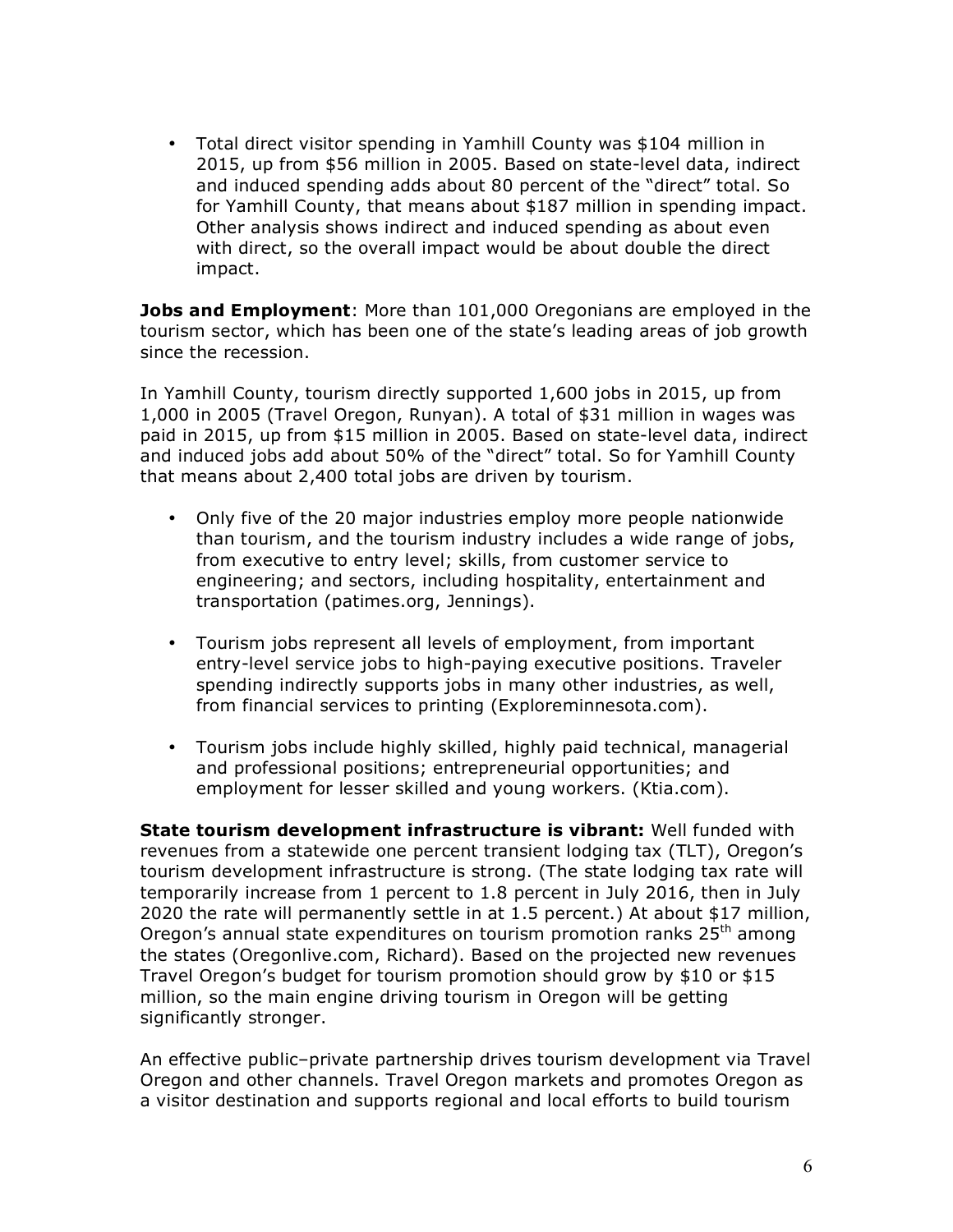• Total direct visitor spending in Yamhill County was \$104 million in 2015, up from \$56 million in 2005. Based on state-level data, indirect and induced spending adds about 80 percent of the "direct" total. So for Yamhill County, that means about \$187 million in spending impact. Other analysis shows indirect and induced spending as about even with direct, so the overall impact would be about double the direct impact.

**Jobs and Employment**: More than 101,000 Oregonians are employed in the tourism sector, which has been one of the state's leading areas of job growth since the recession.

In Yamhill County, tourism directly supported 1,600 jobs in 2015, up from 1,000 in 2005 (Travel Oregon, Runyan). A total of \$31 million in wages was paid in 2015, up from \$15 million in 2005. Based on state-level data, indirect and induced jobs add about 50% of the "direct" total. So for Yamhill County that means about 2,400 total jobs are driven by tourism.

- Only five of the 20 major industries employ more people nationwide than tourism, and the tourism industry includes a wide range of jobs, from executive to entry level; skills, from customer service to engineering; and sectors, including hospitality, entertainment and transportation (patimes.org, Jennings).
- Tourism jobs represent all levels of employment, from important entry-level service jobs to high-paying executive positions. Traveler spending indirectly supports jobs in many other industries, as well, from financial services to printing (Exploreminnesota.com).
- Tourism jobs include highly skilled, highly paid technical, managerial and professional positions; entrepreneurial opportunities; and employment for lesser skilled and young workers. (Ktia.com).

**State tourism development infrastructure is vibrant:** Well funded with revenues from a statewide one percent transient lodging tax (TLT), Oregon's tourism development infrastructure is strong. (The state lodging tax rate will temporarily increase from 1 percent to 1.8 percent in July 2016, then in July 2020 the rate will permanently settle in at 1.5 percent.) At about \$17 million, Oregon's annual state expenditures on tourism promotion ranks 25<sup>th</sup> among the states (Oregonlive.com, Richard). Based on the projected new revenues Travel Oregon's budget for tourism promotion should grow by \$10 or \$15 million, so the main engine driving tourism in Oregon will be getting significantly stronger.

An effective public–private partnership drives tourism development via Travel Oregon and other channels. Travel Oregon markets and promotes Oregon as a visitor destination and supports regional and local efforts to build tourism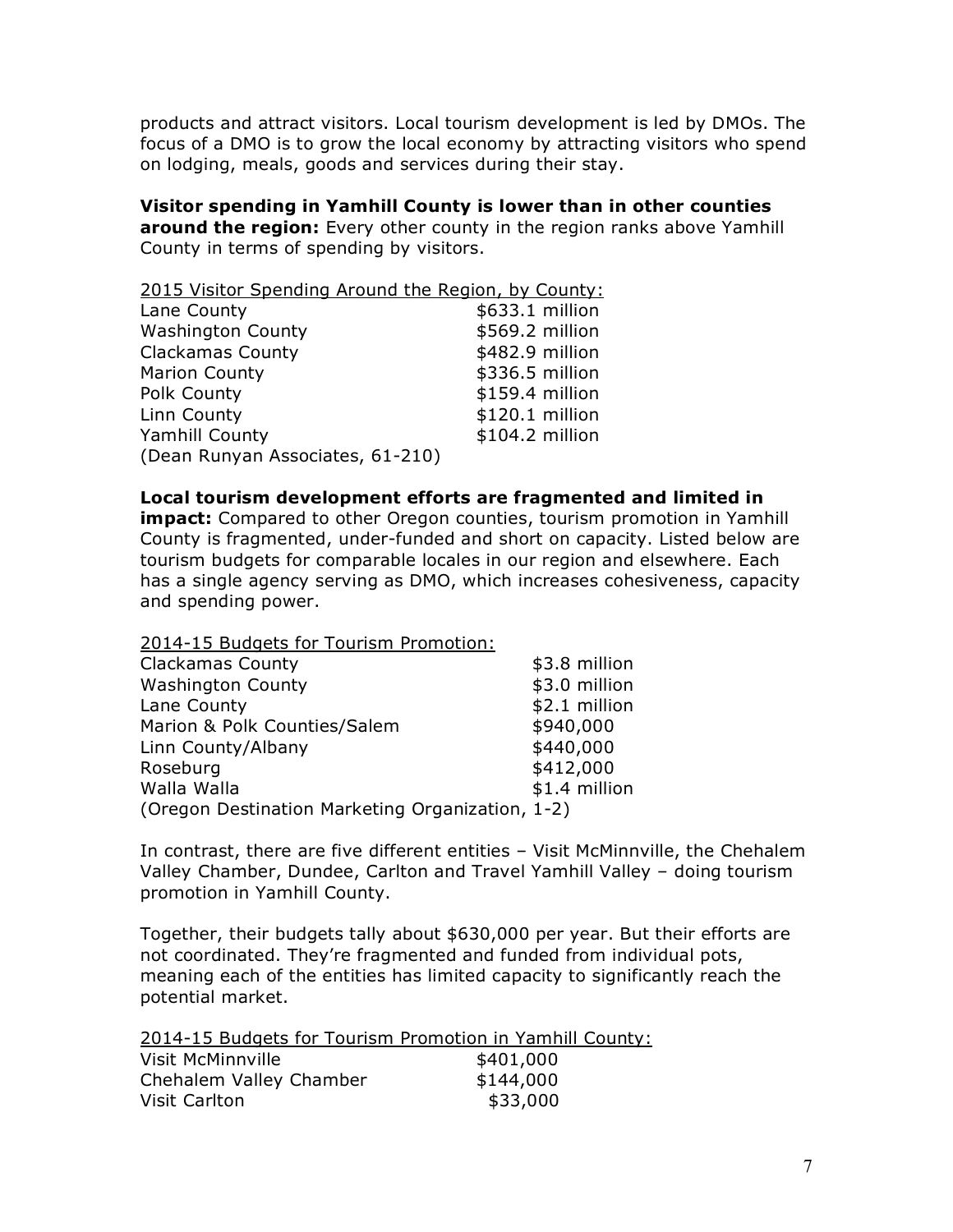products and attract visitors. Local tourism development is led by DMOs. The focus of a DMO is to grow the local economy by attracting visitors who spend on lodging, meals, goods and services during their stay.

**Visitor spending in Yamhill County is lower than in other counties around the region:** Every other county in the region ranks above Yamhill County in terms of spending by visitors.

| 2015 Visitor Spending Around the Region, by County: |                 |  |  |
|-----------------------------------------------------|-----------------|--|--|
| Lane County                                         | \$633.1 million |  |  |
| <b>Washington County</b>                            | \$569.2 million |  |  |
| <b>Clackamas County</b>                             | \$482.9 million |  |  |
| <b>Marion County</b>                                | \$336.5 million |  |  |
| Polk County                                         | \$159.4 million |  |  |
| Linn County                                         | \$120.1 million |  |  |
| Yamhill County                                      | \$104.2 million |  |  |
| (Dean Runyan Associates, 61-210)                    |                 |  |  |

#### **Local tourism development efforts are fragmented and limited in**

**impact:** Compared to other Oregon counties, tourism promotion in Yamhill County is fragmented, under-funded and short on capacity. Listed below are tourism budgets for comparable locales in our region and elsewhere. Each has a single agency serving as DMO, which increases cohesiveness, capacity and spending power.

2014-15 Budgets for Tourism Promotion:

| <b>Clackamas County</b>                          | \$3.8 million |
|--------------------------------------------------|---------------|
| <b>Washington County</b>                         | \$3.0 million |
| Lane County                                      | \$2.1 million |
| Marion & Polk Counties/Salem                     | \$940,000     |
| Linn County/Albany                               | \$440,000     |
| Roseburg                                         | \$412,000     |
| Walla Walla                                      | \$1.4 million |
| (Oregon Destination Marketing Organization, 1-2) |               |

In contrast, there are five different entities – Visit McMinnville, the Chehalem Valley Chamber, Dundee, Carlton and Travel Yamhill Valley – doing tourism promotion in Yamhill County.

Together, their budgets tally about \$630,000 per year. But their efforts are not coordinated. They're fragmented and funded from individual pots, meaning each of the entities has limited capacity to significantly reach the potential market.

|                         | 2014-15 Budgets for Tourism Promotion in Yamhill County: |
|-------------------------|----------------------------------------------------------|
| Visit McMinnville       | \$401,000                                                |
| Chehalem Valley Chamber | \$144,000                                                |
| Visit Carlton           | \$33,000                                                 |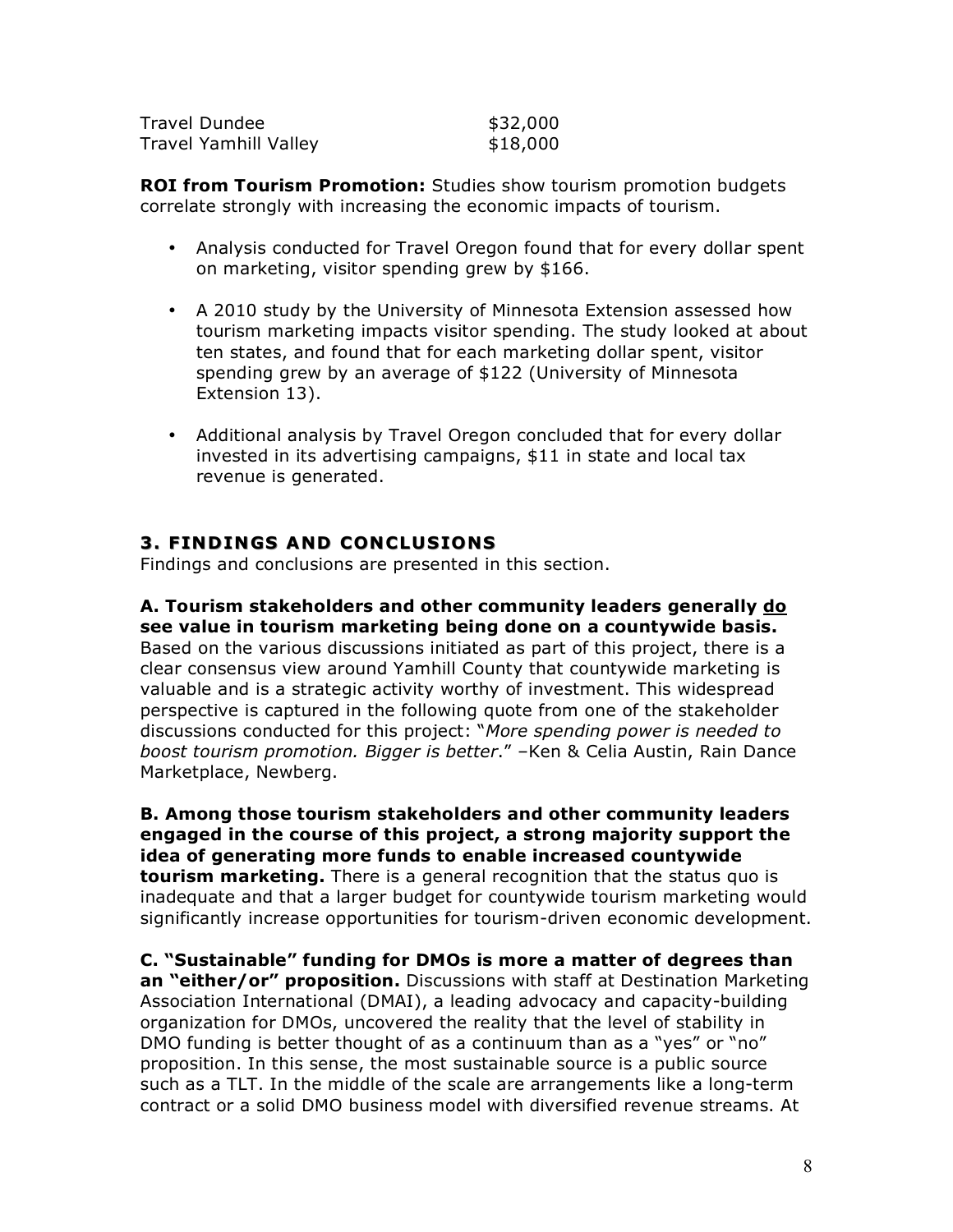| Travel Dundee                | \$32,000 |
|------------------------------|----------|
| <b>Travel Yamhill Valley</b> | \$18,000 |

**ROI from Tourism Promotion:** Studies show tourism promotion budgets correlate strongly with increasing the economic impacts of tourism.

- Analysis conducted for Travel Oregon found that for every dollar spent on marketing, visitor spending grew by \$166.
- A 2010 study by the University of Minnesota Extension assessed how tourism marketing impacts visitor spending. The study looked at about ten states, and found that for each marketing dollar spent, visitor spending grew by an average of \$122 (University of Minnesota Extension 13).
- Additional analysis by Travel Oregon concluded that for every dollar invested in its advertising campaigns, \$11 in state and local tax revenue is generated.

# **3. FINDINGS AND CONCLUSIONS**

Findings and conclusions are presented in this section.

**A. Tourism stakeholders and other community leaders generally do see value in tourism marketing being done on a countywide basis.**  Based on the various discussions initiated as part of this project, there is a clear consensus view around Yamhill County that countywide marketing is valuable and is a strategic activity worthy of investment. This widespread perspective is captured in the following quote from one of the stakeholder discussions conducted for this project: "*More spending power is needed to boost tourism promotion. Bigger is better*." –Ken & Celia Austin, Rain Dance Marketplace, Newberg.

**B. Among those tourism stakeholders and other community leaders engaged in the course of this project, a strong majority support the idea of generating more funds to enable increased countywide tourism marketing.** There is a general recognition that the status quo is inadequate and that a larger budget for countywide tourism marketing would significantly increase opportunities for tourism-driven economic development.

**C. "Sustainable" funding for DMOs is more a matter of degrees than an "either/or" proposition.** Discussions with staff at Destination Marketing Association International (DMAI), a leading advocacy and capacity-building organization for DMOs, uncovered the reality that the level of stability in DMO funding is better thought of as a continuum than as a "yes" or "no" proposition. In this sense, the most sustainable source is a public source such as a TLT. In the middle of the scale are arrangements like a long-term contract or a solid DMO business model with diversified revenue streams. At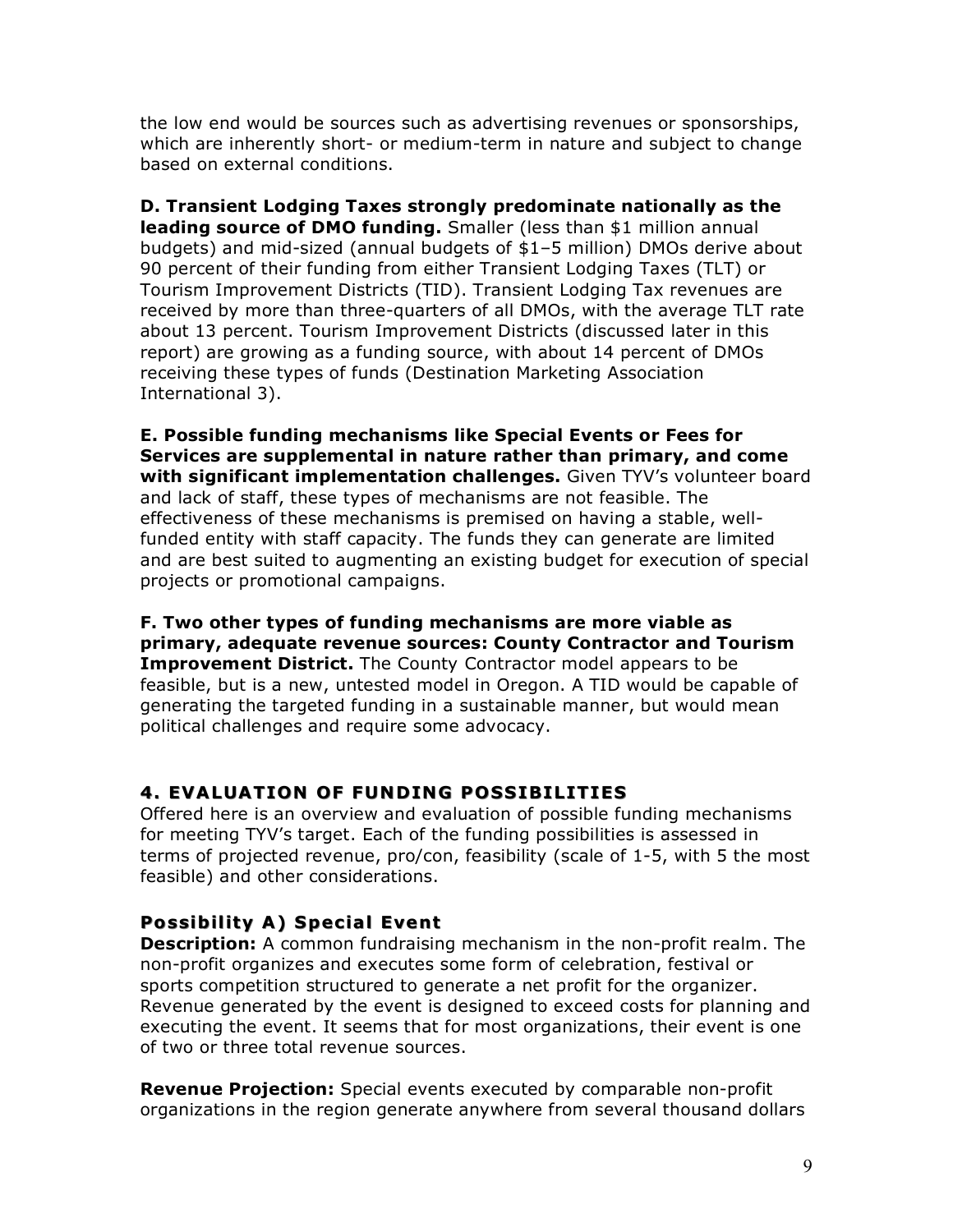the low end would be sources such as advertising revenues or sponsorships, which are inherently short- or medium-term in nature and subject to change based on external conditions.

**D. Transient Lodging Taxes strongly predominate nationally as the leading source of DMO funding.** Smaller (less than \$1 million annual budgets) and mid-sized (annual budgets of \$1–5 million) DMOs derive about 90 percent of their funding from either Transient Lodging Taxes (TLT) or Tourism Improvement Districts (TID). Transient Lodging Tax revenues are received by more than three-quarters of all DMOs, with the average TLT rate about 13 percent. Tourism Improvement Districts (discussed later in this report) are growing as a funding source, with about 14 percent of DMOs receiving these types of funds (Destination Marketing Association International 3).

**E. Possible funding mechanisms like Special Events or Fees for Services are supplemental in nature rather than primary, and come with significant implementation challenges.** Given TYV's volunteer board and lack of staff, these types of mechanisms are not feasible. The effectiveness of these mechanisms is premised on having a stable, wellfunded entity with staff capacity. The funds they can generate are limited and are best suited to augmenting an existing budget for execution of special projects or promotional campaigns.

**F. Two other types of funding mechanisms are more viable as primary, adequate revenue sources: County Contractor and Tourism Improvement District.** The County Contractor model appears to be feasible, but is a new, untested model in Oregon. A TID would be capable of generating the targeted funding in a sustainable manner, but would mean political challenges and require some advocacy.

# **4. EVALUATION OF FUNDING POSSIBILITIES**

Offered here is an overview and evaluation of possible funding mechanisms for meeting TYV's target. Each of the funding possibilities is assessed in terms of projected revenue, pro/con, feasibility (scale of 1-5, with 5 the most feasible) and other considerations.

# **Possibility A) Special Event Possibility A) Special**

**Description:** A common fundraising mechanism in the non-profit realm. The non-profit organizes and executes some form of celebration, festival or sports competition structured to generate a net profit for the organizer. Revenue generated by the event is designed to exceed costs for planning and executing the event. It seems that for most organizations, their event is one of two or three total revenue sources.

**Revenue Projection:** Special events executed by comparable non-profit organizations in the region generate anywhere from several thousand dollars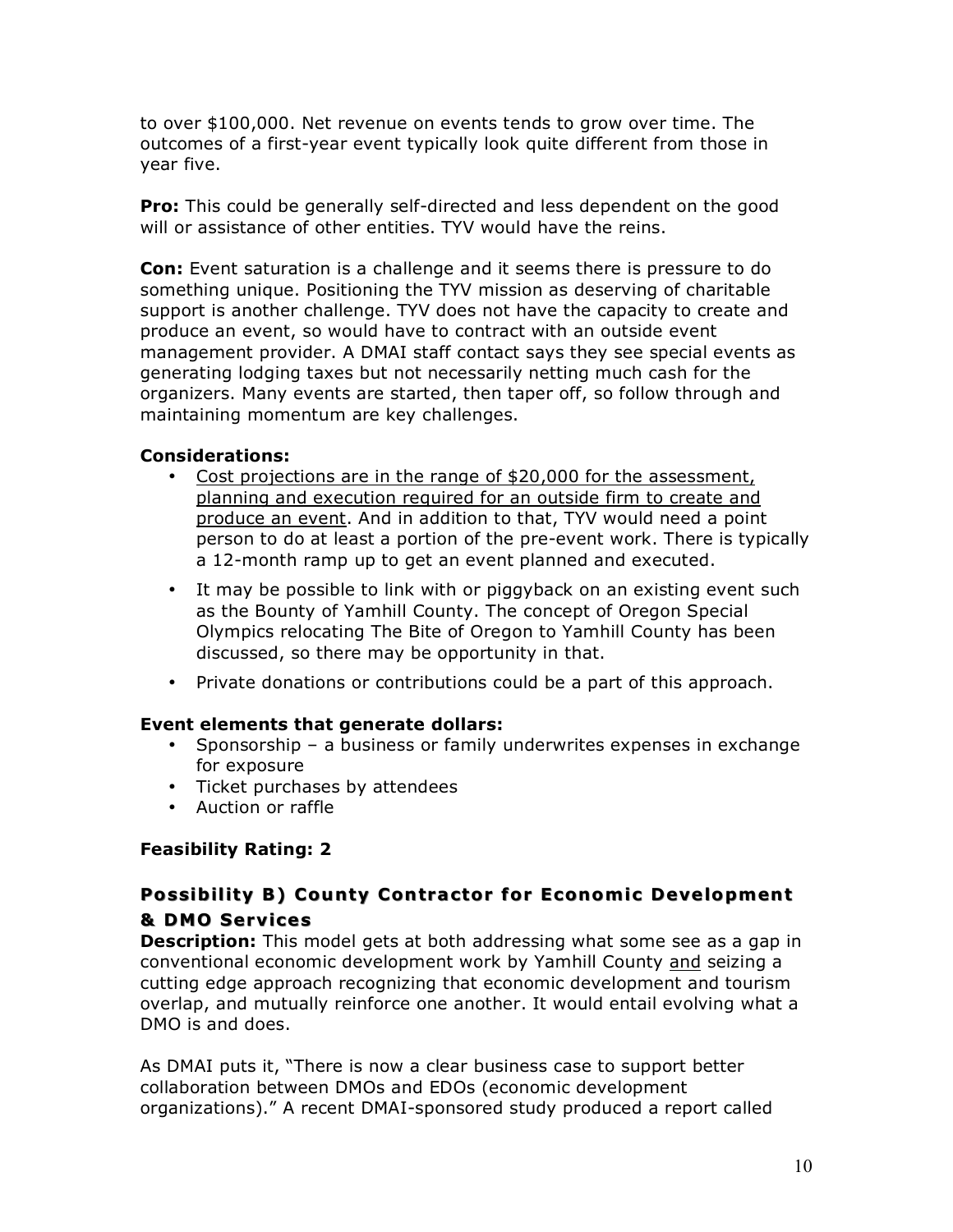to over \$100,000. Net revenue on events tends to grow over time. The outcomes of a first-year event typically look quite different from those in year five.

**Pro:** This could be generally self-directed and less dependent on the good will or assistance of other entities. TYV would have the reins.

**Con:** Event saturation is a challenge and it seems there is pressure to do something unique. Positioning the TYV mission as deserving of charitable support is another challenge. TYV does not have the capacity to create and produce an event, so would have to contract with an outside event management provider. A DMAI staff contact says they see special events as generating lodging taxes but not necessarily netting much cash for the organizers. Many events are started, then taper off, so follow through and maintaining momentum are key challenges.

## **Considerations:**

- Cost projections are in the range of \$20,000 for the assessment, planning and execution required for an outside firm to create and produce an event. And in addition to that, TYV would need a point person to do at least a portion of the pre-event work. There is typically a 12-month ramp up to get an event planned and executed.
- It may be possible to link with or piggyback on an existing event such as the Bounty of Yamhill County. The concept of Oregon Special Olympics relocating The Bite of Oregon to Yamhill County has been discussed, so there may be opportunity in that.
- Private donations or contributions could be a part of this approach.

## **Event elements that generate dollars:**

- Sponsorship a business or family underwrites expenses in exchange for exposure
- Ticket purchases by attendees
- Auction or raffle

## **Feasibility Rating: 2**

# **Possibility B) County Contractor for Economic Development & DMO Services**

**Description:** This model gets at both addressing what some see as a gap in conventional economic development work by Yamhill County and seizing a cutting edge approach recognizing that economic development and tourism overlap, and mutually reinforce one another. It would entail evolving what a DMO is and does.

As DMAI puts it, "There is now a clear business case to support better collaboration between DMOs and EDOs (economic development organizations)." A recent DMAI-sponsored study produced a report called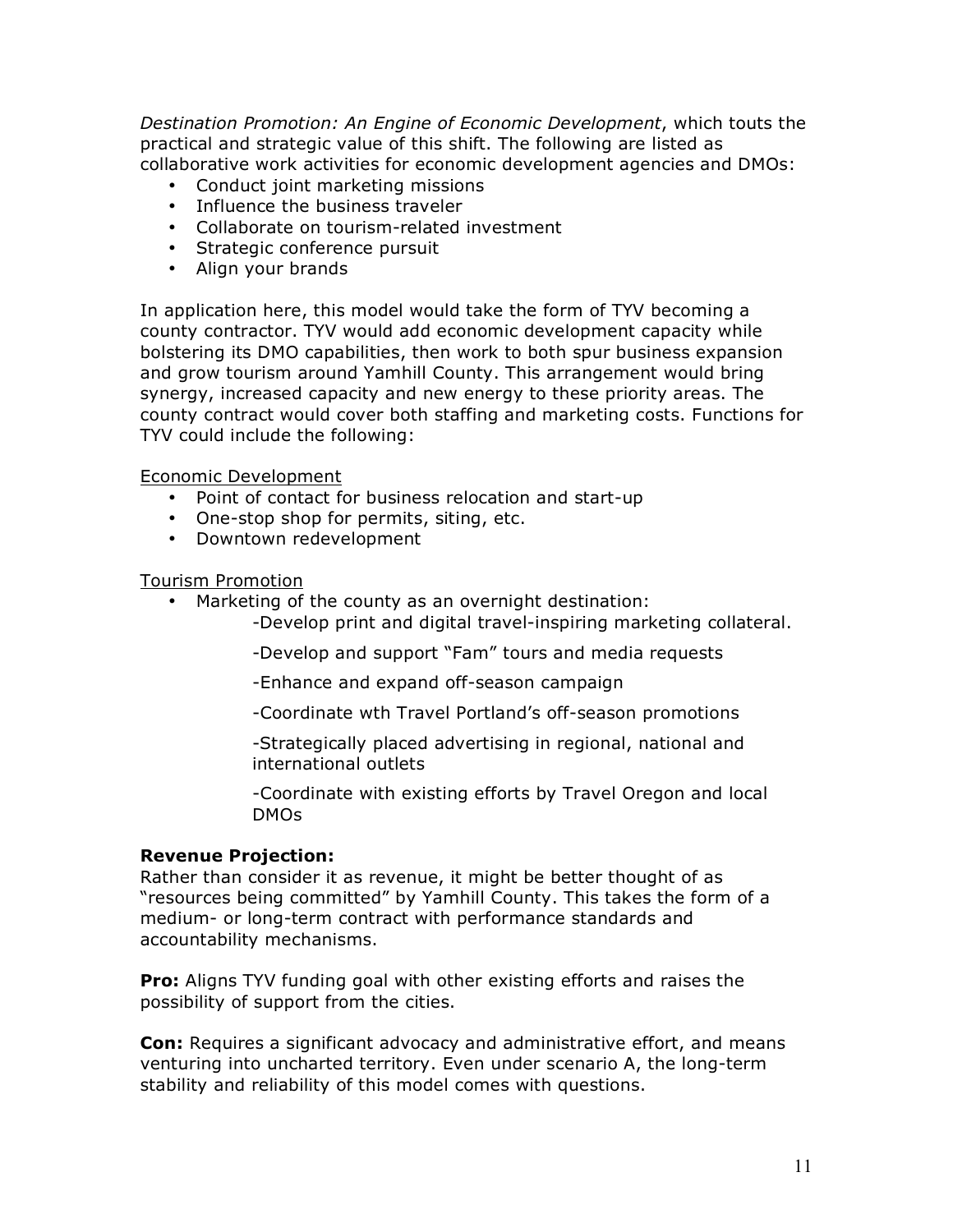*Destination Promotion: An Engine of Economic Development*, which touts the practical and strategic value of this shift. The following are listed as collaborative work activities for economic development agencies and DMOs:

- Conduct joint marketing missions
- Influence the business traveler
- Collaborate on tourism-related investment
- Strategic conference pursuit
- Align your brands

In application here, this model would take the form of TYV becoming a county contractor. TYV would add economic development capacity while bolstering its DMO capabilities, then work to both spur business expansion and grow tourism around Yamhill County. This arrangement would bring synergy, increased capacity and new energy to these priority areas. The county contract would cover both staffing and marketing costs. Functions for TYV could include the following:

Economic Development

- Point of contact for business relocation and start-up
- One-stop shop for permits, siting, etc.
- Downtown redevelopment

Tourism Promotion

- Marketing of the county as an overnight destination:
	- -Develop print and digital travel-inspiring marketing collateral.
	- -Develop and support "Fam" tours and media requests
	- -Enhance and expand off-season campaign
	- -Coordinate wth Travel Portland's off-season promotions
	- -Strategically placed advertising in regional, national and international outlets
	- -Coordinate with existing efforts by Travel Oregon and local DMOs

#### **Revenue Projection:**

Rather than consider it as revenue, it might be better thought of as "resources being committed" by Yamhill County. This takes the form of a medium- or long-term contract with performance standards and accountability mechanisms.

**Pro:** Aligns TYV funding goal with other existing efforts and raises the possibility of support from the cities.

**Con:** Requires a significant advocacy and administrative effort, and means venturing into uncharted territory. Even under scenario A, the long-term stability and reliability of this model comes with questions.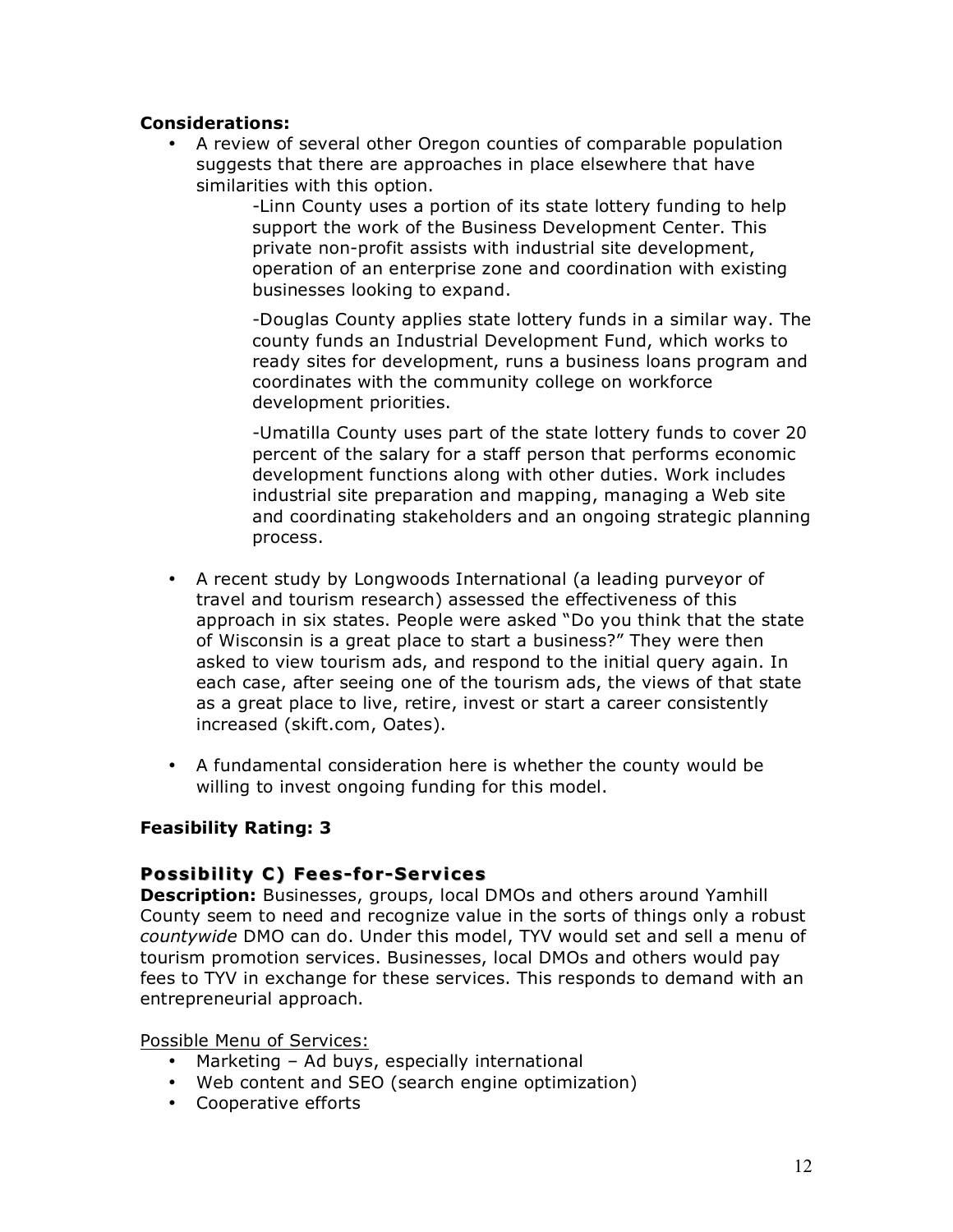#### **Considerations:**

• A review of several other Oregon counties of comparable population suggests that there are approaches in place elsewhere that have similarities with this option.

> -Linn County uses a portion of its state lottery funding to help support the work of the Business Development Center. This private non-profit assists with industrial site development, operation of an enterprise zone and coordination with existing businesses looking to expand.

-Douglas County applies state lottery funds in a similar way. The county funds an Industrial Development Fund, which works to ready sites for development, runs a business loans program and coordinates with the community college on workforce development priorities.

-Umatilla County uses part of the state lottery funds to cover 20 percent of the salary for a staff person that performs economic development functions along with other duties. Work includes industrial site preparation and mapping, managing a Web site and coordinating stakeholders and an ongoing strategic planning process.

- A recent study by Longwoods International (a leading purveyor of travel and tourism research) assessed the effectiveness of this approach in six states. People were asked "Do you think that the state of Wisconsin is a great place to start a business?" They were then asked to view tourism ads, and respond to the initial query again. In each case, after seeing one of the tourism ads, the views of that state as a great place to live, retire, invest or start a career consistently increased (skift.com, Oates).
- A fundamental consideration here is whether the county would be willing to invest ongoing funding for this model.

## **Feasibility Rating: 3**

## **Possibility C) Fees-for-Services**

**Description:** Businesses, groups, local DMOs and others around Yamhill County seem to need and recognize value in the sorts of things only a robust *countywide* DMO can do. Under this model, TYV would set and sell a menu of tourism promotion services. Businesses, local DMOs and others would pay fees to TYV in exchange for these services. This responds to demand with an entrepreneurial approach.

Possible Menu of Services:

- Marketing Ad buys, especially international
- Web content and SEO (search engine optimization)
- Cooperative efforts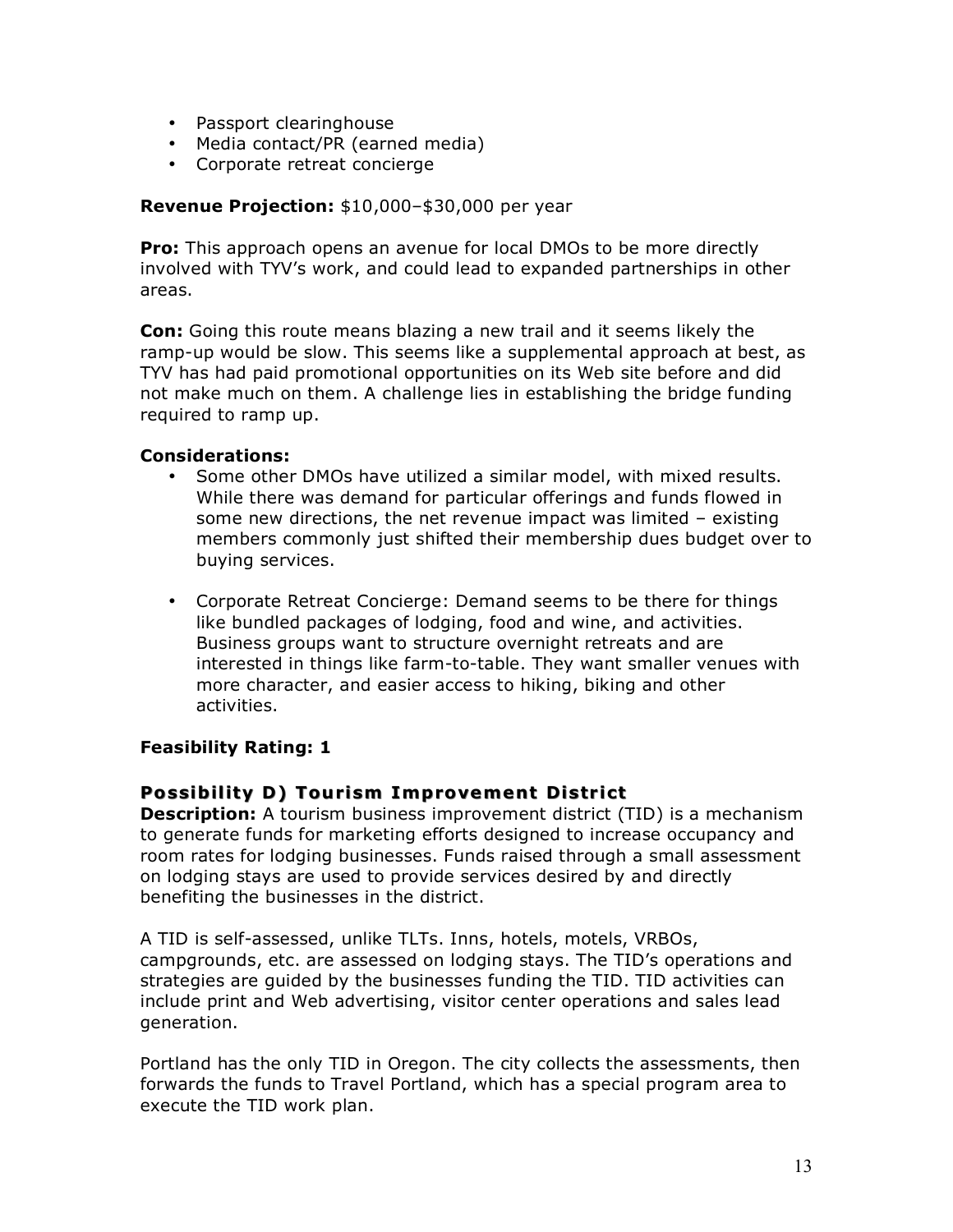- Passport clearinghouse
- Media contact/PR (earned media)
- Corporate retreat concierge

#### **Revenue Projection:** \$10,000–\$30,000 per year

**Pro:** This approach opens an avenue for local DMOs to be more directly involved with TYV's work, and could lead to expanded partnerships in other areas.

**Con:** Going this route means blazing a new trail and it seems likely the ramp-up would be slow. This seems like a supplemental approach at best, as TYV has had paid promotional opportunities on its Web site before and did not make much on them. A challenge lies in establishing the bridge funding required to ramp up.

#### **Considerations:**

- Some other DMOs have utilized a similar model, with mixed results. While there was demand for particular offerings and funds flowed in some new directions, the net revenue impact was limited – existing members commonly just shifted their membership dues budget over to buying services.
- Corporate Retreat Concierge: Demand seems to be there for things like bundled packages of lodging, food and wine, and activities. Business groups want to structure overnight retreats and are interested in things like farm-to-table. They want smaller venues with more character, and easier access to hiking, biking and other activities.

## **Feasibility Rating: 1**

## **Possibility D) Tourism Improvement District Possibility D) Tourism Improvement District**

**Description:** A tourism business improvement district (TID) is a mechanism to generate funds for marketing efforts designed to increase occupancy and room rates for lodging businesses. Funds raised through a small assessment on lodging stays are used to provide services desired by and directly benefiting the businesses in the district.

A TID is self-assessed, unlike TLTs. Inns, hotels, motels, VRBOs, campgrounds, etc. are assessed on lodging stays. The TID's operations and strategies are guided by the businesses funding the TID. TID activities can include print and Web advertising, visitor center operations and sales lead generation.

Portland has the only TID in Oregon. The city collects the assessments, then forwards the funds to Travel Portland, which has a special program area to execute the TID work plan.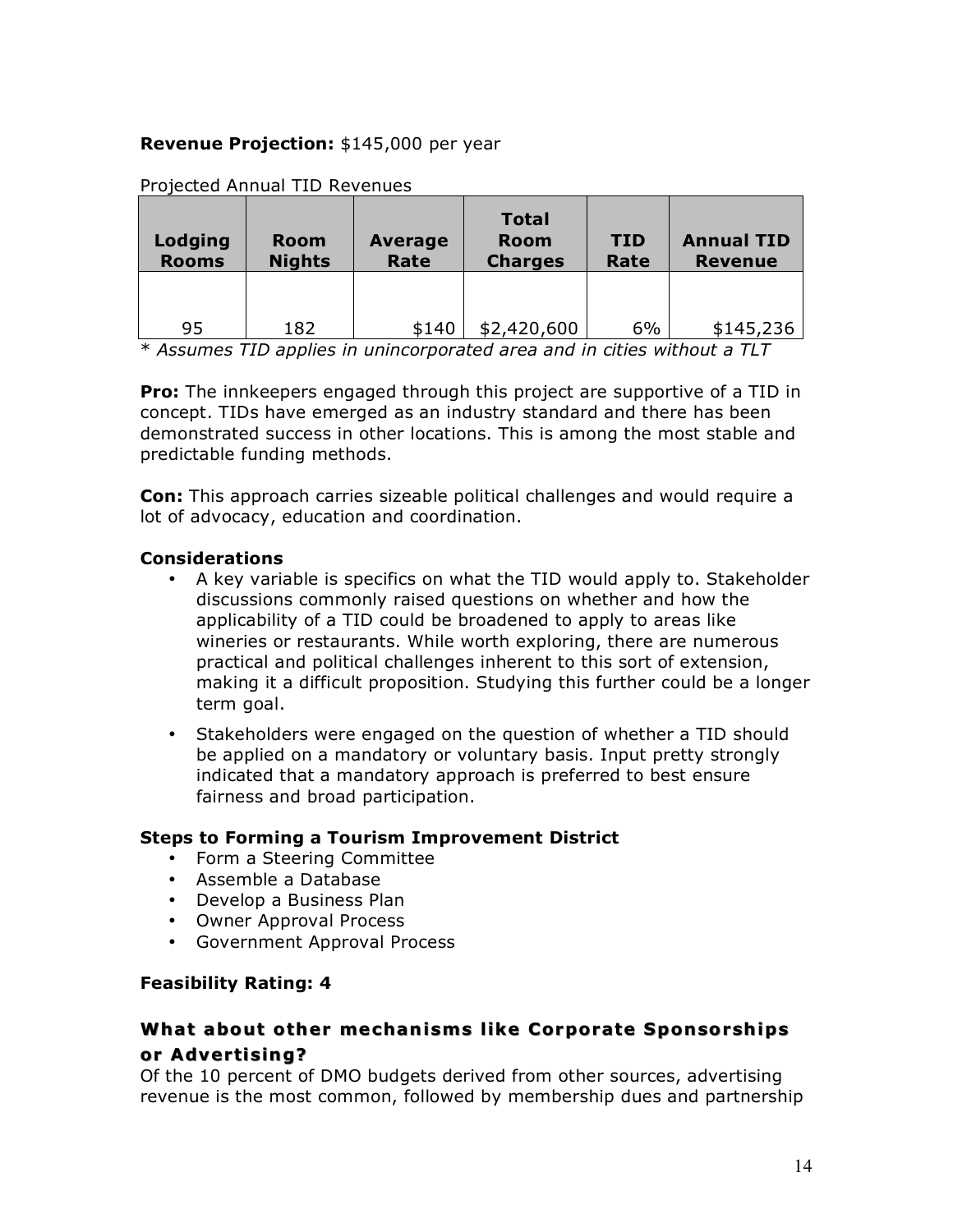## **Revenue Projection:** \$145,000 per year

| Lodging<br><b>Rooms</b> | <b>Room</b><br><b>Nights</b> | <b>Average</b><br>Rate | <b>Total</b><br><b>Room</b><br><b>Charges</b> | <b>TID</b><br>Rate | <b>Annual TID</b><br><b>Revenue</b> |
|-------------------------|------------------------------|------------------------|-----------------------------------------------|--------------------|-------------------------------------|
| 95                      | 182                          | \$140                  | \$2,420,600                                   | 6%                 | \$145,236                           |

Projected Annual TID Revenues

\* *Assumes TID applies in unincorporated area and in cities without a TLT*

**Pro:** The innkeepers engaged through this project are supportive of a TID in concept. TIDs have emerged as an industry standard and there has been demonstrated success in other locations. This is among the most stable and predictable funding methods.

**Con:** This approach carries sizeable political challenges and would require a lot of advocacy, education and coordination.

#### **Considerations**

- A key variable is specifics on what the TID would apply to. Stakeholder discussions commonly raised questions on whether and how the applicability of a TID could be broadened to apply to areas like wineries or restaurants. While worth exploring, there are numerous practical and political challenges inherent to this sort of extension, making it a difficult proposition. Studying this further could be a longer term goal.
- Stakeholders were engaged on the question of whether a TID should be applied on a mandatory or voluntary basis. Input pretty strongly indicated that a mandatory approach is preferred to best ensure fairness and broad participation.

## **Steps to Forming a Tourism Improvement District**

- Form a Steering Committee
- Assemble a Database
- Develop a Business Plan
- Owner Approval Process
- Government Approval Process

## **Feasibility Rating: 4**

# **What about other mechanisms like Corporate Sponsorships or Advertising?**

Of the 10 percent of DMO budgets derived from other sources, advertising revenue is the most common, followed by membership dues and partnership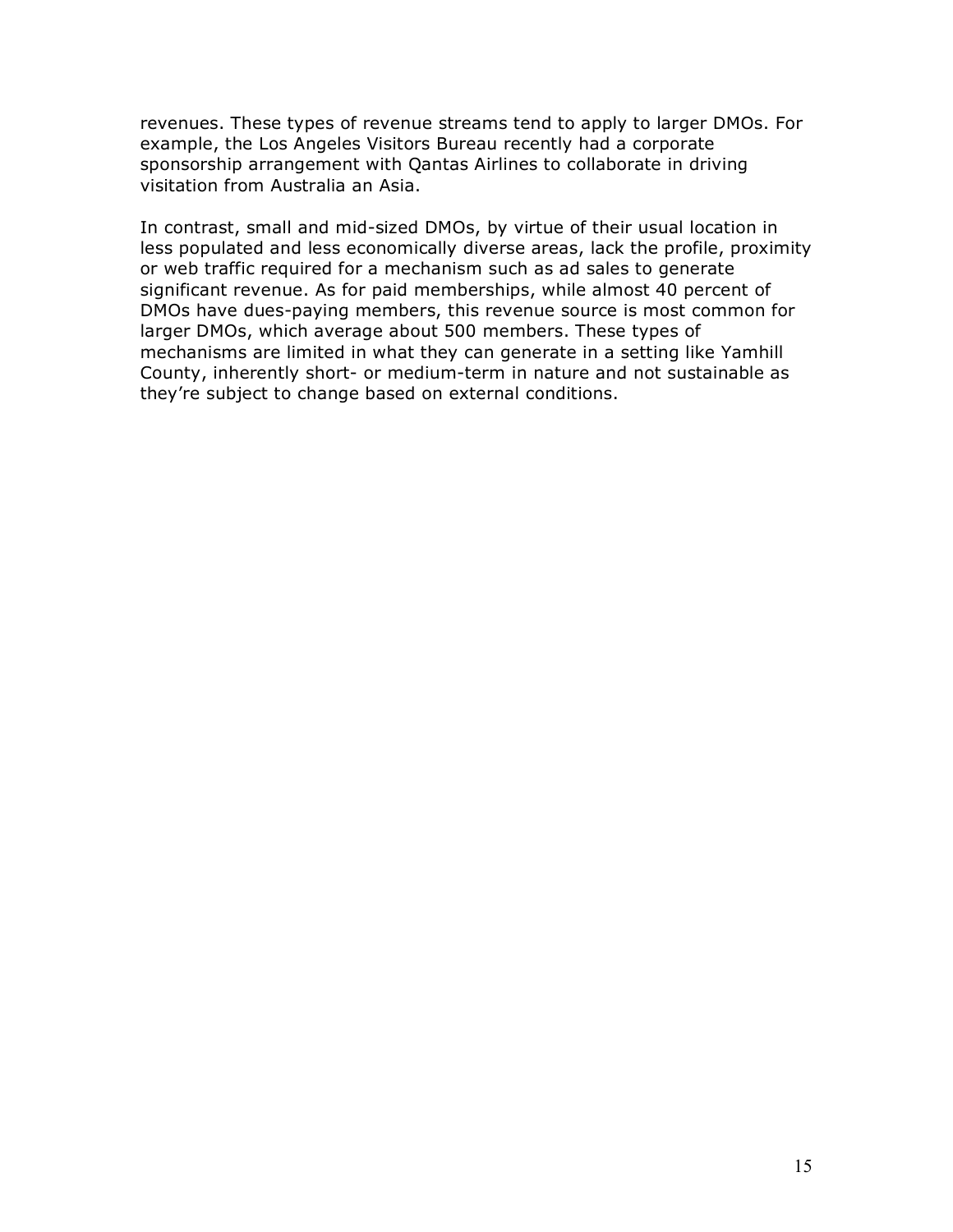revenues. These types of revenue streams tend to apply to larger DMOs. For example, the Los Angeles Visitors Bureau recently had a corporate sponsorship arrangement with Qantas Airlines to collaborate in driving visitation from Australia an Asia.

In contrast, small and mid-sized DMOs, by virtue of their usual location in less populated and less economically diverse areas, lack the profile, proximity or web traffic required for a mechanism such as ad sales to generate significant revenue. As for paid memberships, while almost 40 percent of DMOs have dues-paying members, this revenue source is most common for larger DMOs, which average about 500 members. These types of mechanisms are limited in what they can generate in a setting like Yamhill County, inherently short- or medium-term in nature and not sustainable as they're subject to change based on external conditions.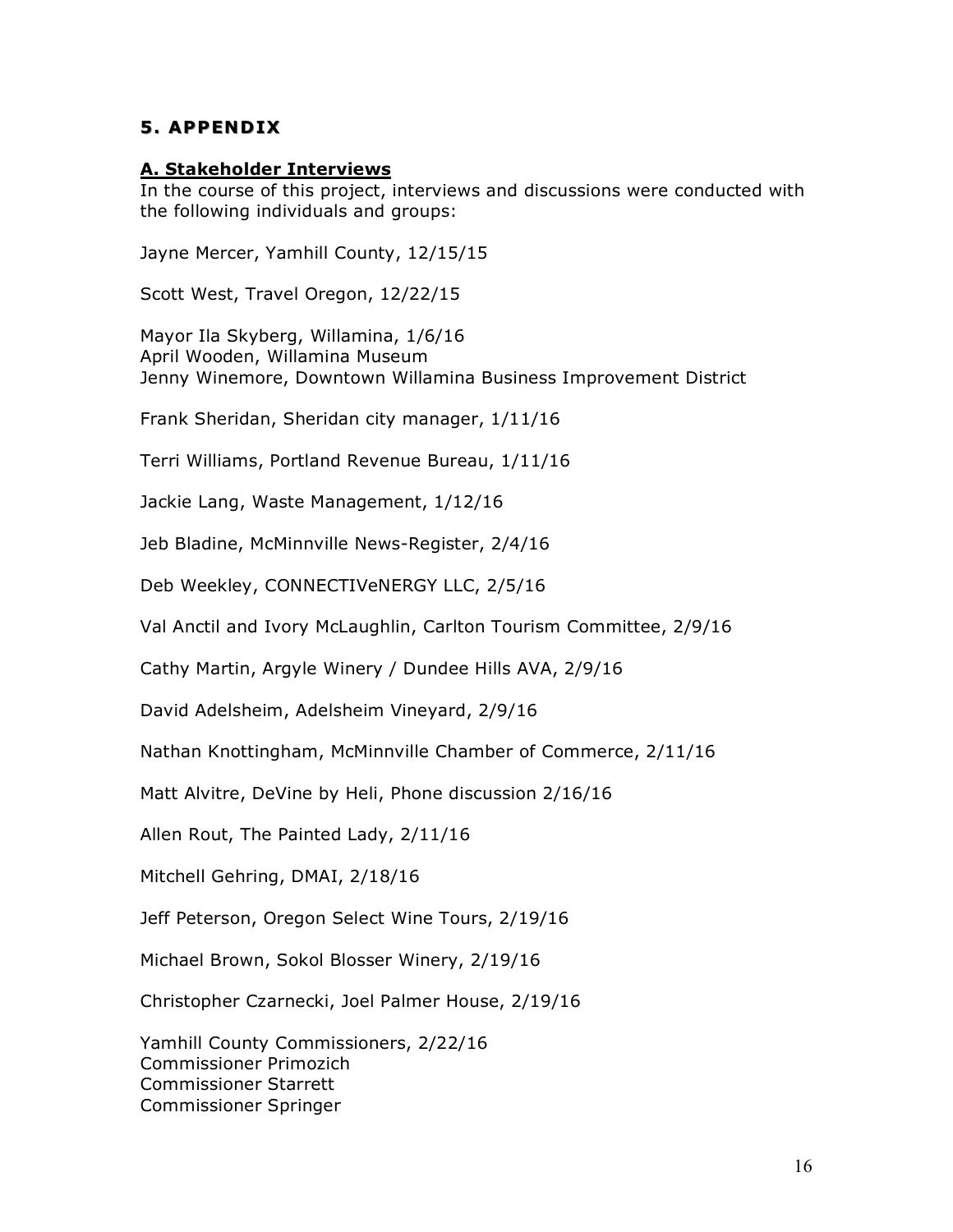## **5. APPENDIX**

#### **A. Stakeholder Interviews**

In the course of this project, interviews and discussions were conducted with the following individuals and groups:

Jayne Mercer, Yamhill County, 12/15/15

Scott West, Travel Oregon, 12/22/15

Mayor Ila Skyberg, Willamina, 1/6/16 April Wooden, Willamina Museum Jenny Winemore, Downtown Willamina Business Improvement District

Frank Sheridan, Sheridan city manager, 1/11/16

Terri Williams, Portland Revenue Bureau, 1/11/16

Jackie Lang, Waste Management, 1/12/16

Jeb Bladine, McMinnville News-Register, 2/4/16

Deb Weekley, CONNECTIVeNERGY LLC, 2/5/16

Val Anctil and Ivory McLaughlin, Carlton Tourism Committee, 2/9/16

Cathy Martin, Argyle Winery / Dundee Hills AVA, 2/9/16

David Adelsheim, Adelsheim Vineyard, 2/9/16

Nathan Knottingham, McMinnville Chamber of Commerce, 2/11/16

Matt Alvitre, DeVine by Heli, Phone discussion 2/16/16

Allen Rout, The Painted Lady, 2/11/16

Mitchell Gehring, DMAI, 2/18/16

Jeff Peterson, Oregon Select Wine Tours, 2/19/16

Michael Brown, Sokol Blosser Winery, 2/19/16

Christopher Czarnecki, Joel Palmer House, 2/19/16

Yamhill County Commissioners, 2/22/16 Commissioner Primozich Commissioner Starrett Commissioner Springer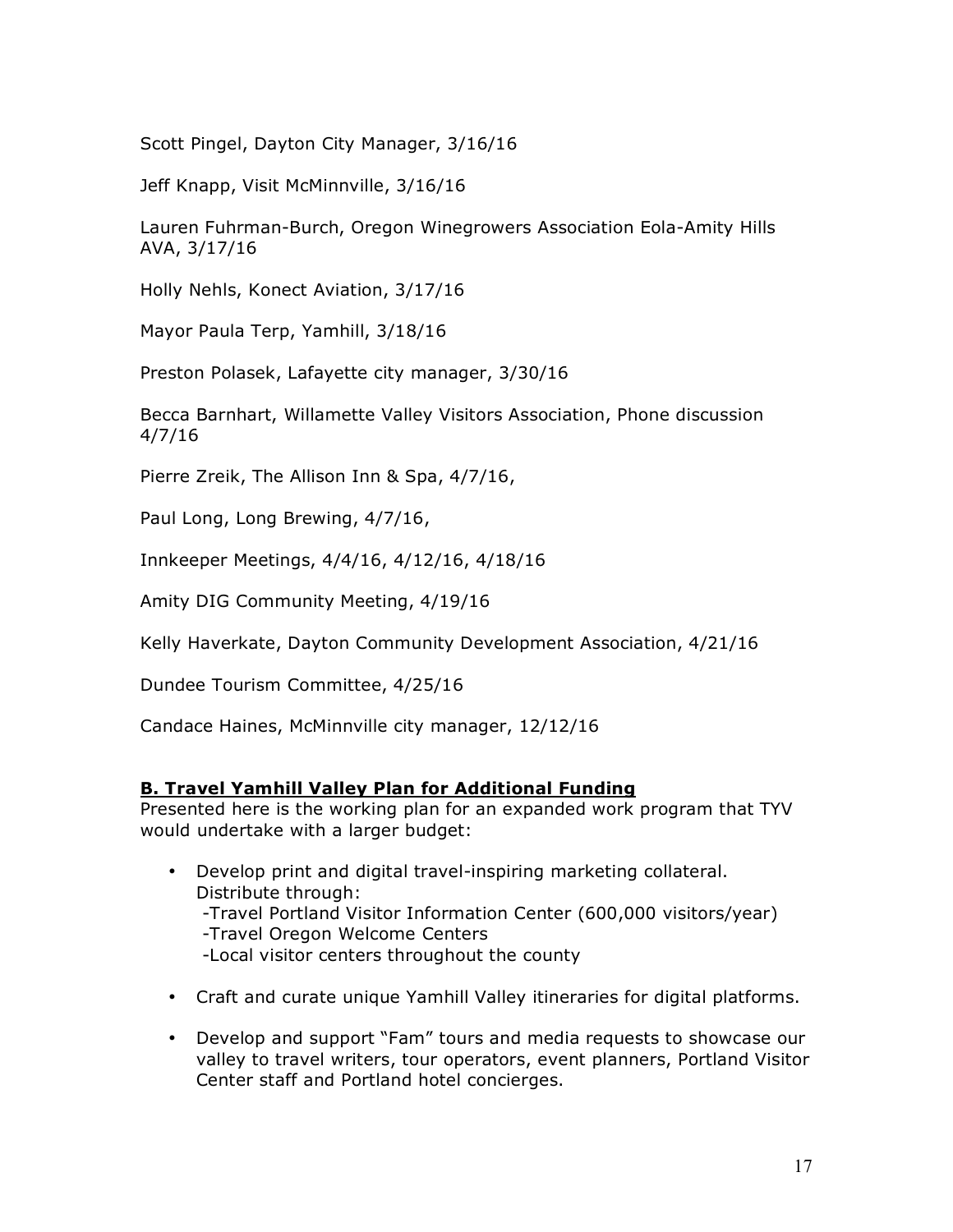Scott Pingel, Dayton City Manager, 3/16/16

Jeff Knapp, Visit McMinnville, 3/16/16

Lauren Fuhrman-Burch, Oregon Winegrowers Association Eola-Amity Hills AVA, 3/17/16

Holly Nehls, Konect Aviation, 3/17/16

Mayor Paula Terp, Yamhill, 3/18/16

Preston Polasek, Lafayette city manager, 3/30/16

Becca Barnhart, Willamette Valley Visitors Association, Phone discussion 4/7/16

Pierre Zreik, The Allison Inn & Spa, 4/7/16,

Paul Long, Long Brewing, 4/7/16,

Innkeeper Meetings, 4/4/16, 4/12/16, 4/18/16

Amity DIG Community Meeting, 4/19/16

Kelly Haverkate, Dayton Community Development Association, 4/21/16

Dundee Tourism Committee, 4/25/16

Candace Haines, McMinnville city manager, 12/12/16

## **B. Travel Yamhill Valley Plan for Additional Funding**

Presented here is the working plan for an expanded work program that TYV would undertake with a larger budget:

- Develop print and digital travel-inspiring marketing collateral. Distribute through: -Travel Portland Visitor Information Center (600,000 visitors/year) -Travel Oregon Welcome Centers -Local visitor centers throughout the county
- Craft and curate unique Yamhill Valley itineraries for digital platforms.
- Develop and support "Fam" tours and media requests to showcase our valley to travel writers, tour operators, event planners, Portland Visitor Center staff and Portland hotel concierges.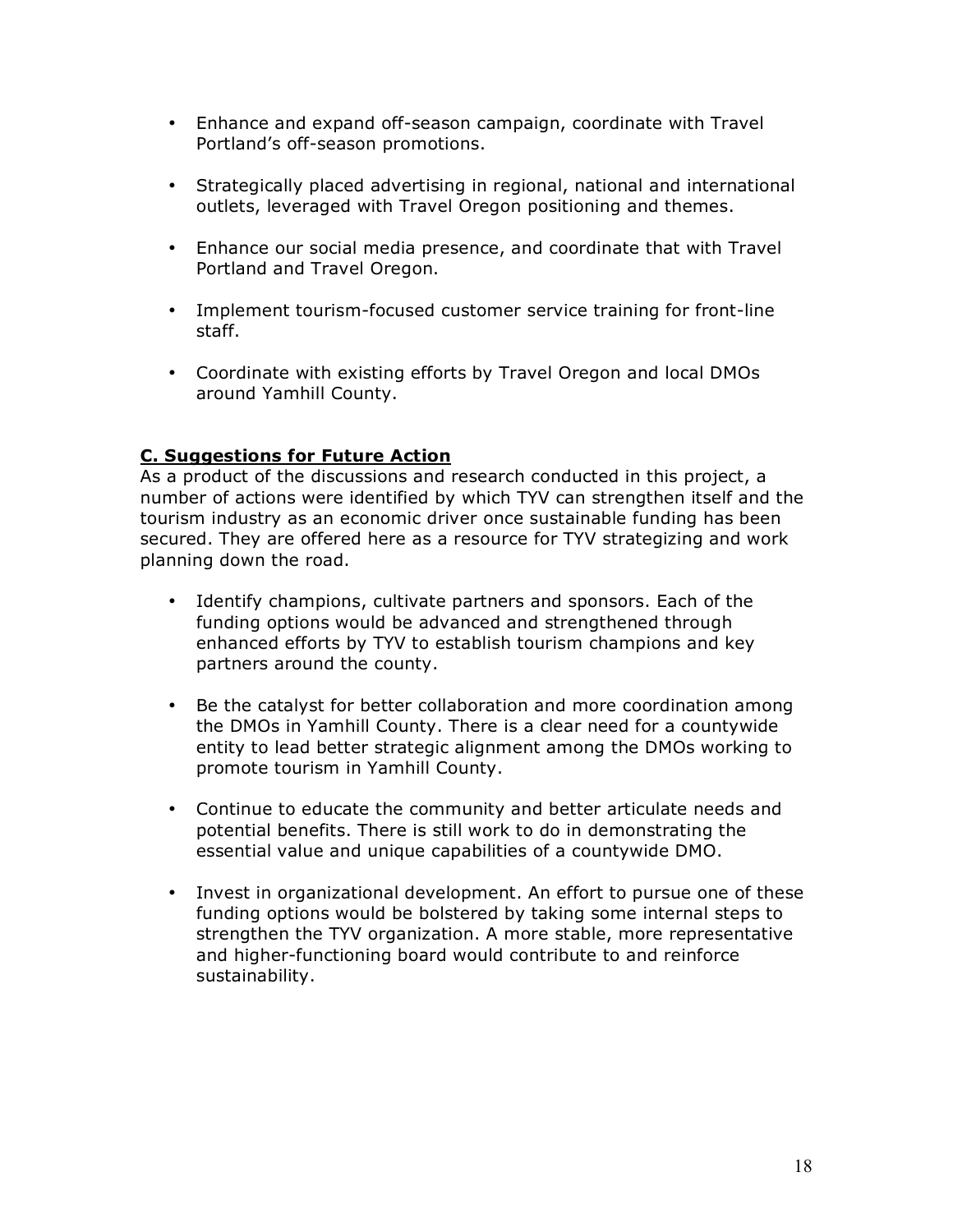- Enhance and expand off-season campaign, coordinate with Travel Portland's off-season promotions.
- Strategically placed advertising in regional, national and international outlets, leveraged with Travel Oregon positioning and themes.
- Enhance our social media presence, and coordinate that with Travel Portland and Travel Oregon.
- Implement tourism-focused customer service training for front-line staff.
- Coordinate with existing efforts by Travel Oregon and local DMOs around Yamhill County.

# **C. Suggestions for Future Action**

As a product of the discussions and research conducted in this project, a number of actions were identified by which TYV can strengthen itself and the tourism industry as an economic driver once sustainable funding has been secured. They are offered here as a resource for TYV strategizing and work planning down the road.

- Identify champions, cultivate partners and sponsors. Each of the funding options would be advanced and strengthened through enhanced efforts by TYV to establish tourism champions and key partners around the county.
- Be the catalyst for better collaboration and more coordination among the DMOs in Yamhill County. There is a clear need for a countywide entity to lead better strategic alignment among the DMOs working to promote tourism in Yamhill County.
- Continue to educate the community and better articulate needs and potential benefits. There is still work to do in demonstrating the essential value and unique capabilities of a countywide DMO.
- Invest in organizational development. An effort to pursue one of these funding options would be bolstered by taking some internal steps to strengthen the TYV organization. A more stable, more representative and higher-functioning board would contribute to and reinforce sustainability.